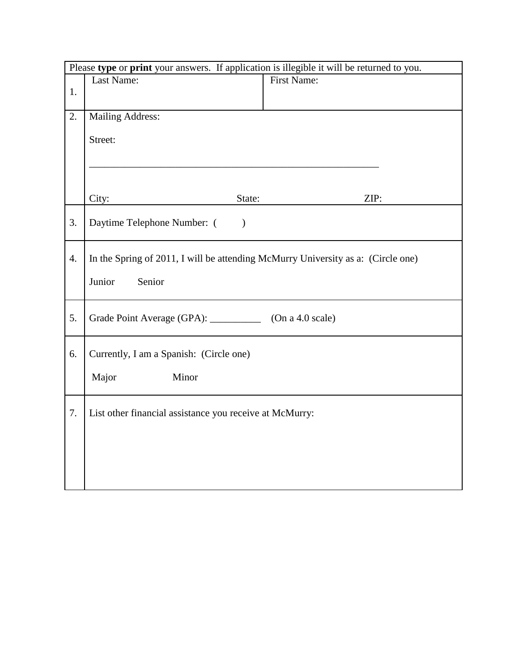| Please type or print your answers. If application is illegible it will be returned to you. |                                                                                  |             |  |  |
|--------------------------------------------------------------------------------------------|----------------------------------------------------------------------------------|-------------|--|--|
|                                                                                            | Last Name:                                                                       | First Name: |  |  |
| 1.                                                                                         |                                                                                  |             |  |  |
| 2.                                                                                         | <b>Mailing Address:</b>                                                          |             |  |  |
|                                                                                            | Street:                                                                          |             |  |  |
|                                                                                            |                                                                                  |             |  |  |
|                                                                                            |                                                                                  |             |  |  |
|                                                                                            |                                                                                  |             |  |  |
|                                                                                            | City:<br>State:                                                                  | ZIP:        |  |  |
| 3.                                                                                         | Daytime Telephone Number: (<br>$\lambda$                                         |             |  |  |
| 4.                                                                                         | In the Spring of 2011, I will be attending McMurry University as a: (Circle one) |             |  |  |
|                                                                                            | Junior<br>Senior                                                                 |             |  |  |
| 5.                                                                                         | Grade Point Average (GPA): _____________ (On a 4.0 scale)                        |             |  |  |
| 6.                                                                                         | Currently, I am a Spanish: (Circle one)                                          |             |  |  |
|                                                                                            | Major<br>Minor                                                                   |             |  |  |
| 7.                                                                                         | List other financial assistance you receive at McMurry:                          |             |  |  |
|                                                                                            |                                                                                  |             |  |  |
|                                                                                            |                                                                                  |             |  |  |